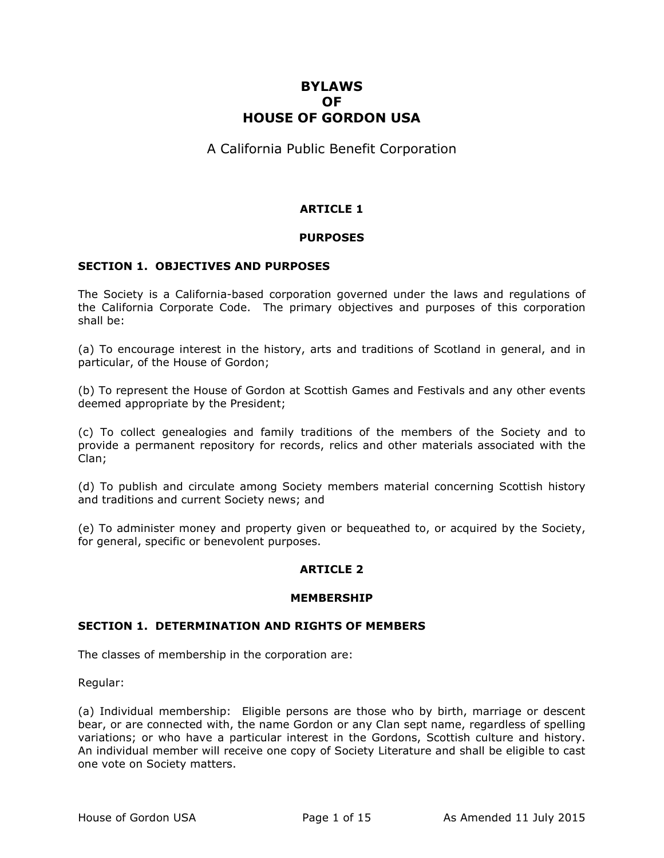# **BYLAWS OF HOUSE OF GORDON USA**

A California Public Benefit Corporation

# **ARTICLE 1**

#### **PURPOSES**

## **SECTION 1. OBJECTIVES AND PURPOSES**

The Society is a California-based corporation governed under the laws and regulations of the California Corporate Code. The primary objectives and purposes of this corporation shall be:

(a) To encourage interest in the history, arts and traditions of Scotland in general, and in particular, of the House of Gordon;

(b) To represent the House of Gordon at Scottish Games and Festivals and any other events deemed appropriate by the President;

(c) To collect genealogies and family traditions of the members of the Society and to provide a permanent repository for records, relics and other materials associated with the Clan;

(d) To publish and circulate among Society members material concerning Scottish history and traditions and current Society news; and

(e) To administer money and property given or bequeathed to, or acquired by the Society, for general, specific or benevolent purposes.

## **ARTICLE 2**

#### **MEMBERSHIP**

#### **SECTION 1. DETERMINATION AND RIGHTS OF MEMBERS**

The classes of membership in the corporation are:

Regular:

(a) Individual membership: Eligible persons are those who by birth, marriage or descent bear, or are connected with, the name Gordon or any Clan sept name, regardless of spelling variations; or who have a particular interest in the Gordons, Scottish culture and history. An individual member will receive one copy of Society Literature and shall be eligible to cast one vote on Society matters.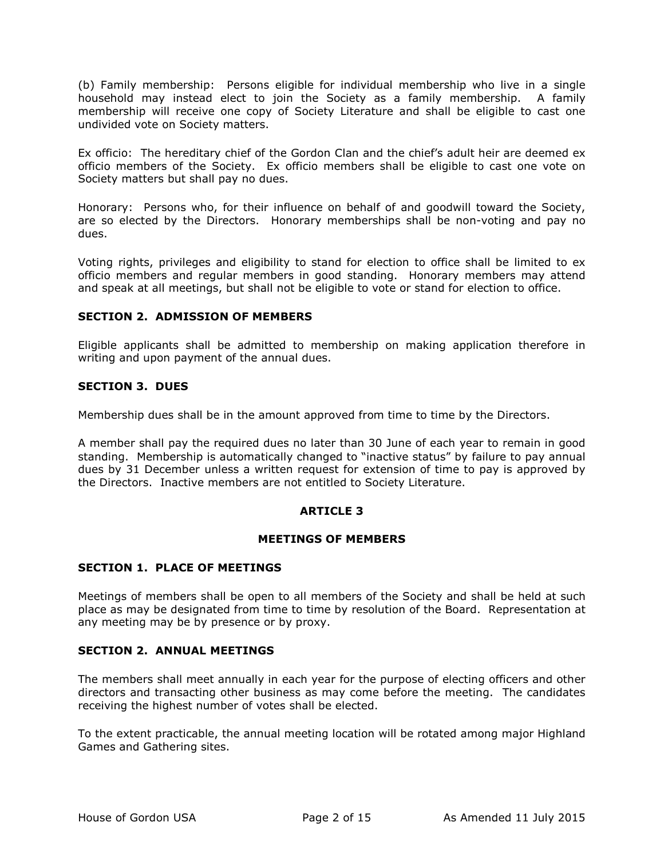(b) Family membership: Persons eligible for individual membership who live in a single household may instead elect to join the Society as a family membership. A family membership will receive one copy of Society Literature and shall be eligible to cast one undivided vote on Society matters.

Ex officio: The hereditary chief of the Gordon Clan and the chief's adult heir are deemed ex officio members of the Society. Ex officio members shall be eligible to cast one vote on Society matters but shall pay no dues.

Honorary: Persons who, for their influence on behalf of and goodwill toward the Society, are so elected by the Directors. Honorary memberships shall be non-voting and pay no dues.

Voting rights, privileges and eligibility to stand for election to office shall be limited to ex officio members and regular members in good standing. Honorary members may attend and speak at all meetings, but shall not be eligible to vote or stand for election to office.

## **SECTION 2. ADMISSION OF MEMBERS**

Eligible applicants shall be admitted to membership on making application therefore in writing and upon payment of the annual dues.

#### **SECTION 3. DUES**

Membership dues shall be in the amount approved from time to time by the Directors.

A member shall pay the required dues no later than 30 June of each year to remain in good standing. Membership is automatically changed to "inactive status" by failure to pay annual dues by 31 December unless a written request for extension of time to pay is approved by the Directors. Inactive members are not entitled to Society Literature.

## **ARTICLE 3**

#### **MEETINGS OF MEMBERS**

## **SECTION 1. PLACE OF MEETINGS**

Meetings of members shall be open to all members of the Society and shall be held at such place as may be designated from time to time by resolution of the Board. Representation at any meeting may be by presence or by proxy.

#### **SECTION 2. ANNUAL MEETINGS**

The members shall meet annually in each year for the purpose of electing officers and other directors and transacting other business as may come before the meeting. The candidates receiving the highest number of votes shall be elected.

To the extent practicable, the annual meeting location will be rotated among major Highland Games and Gathering sites.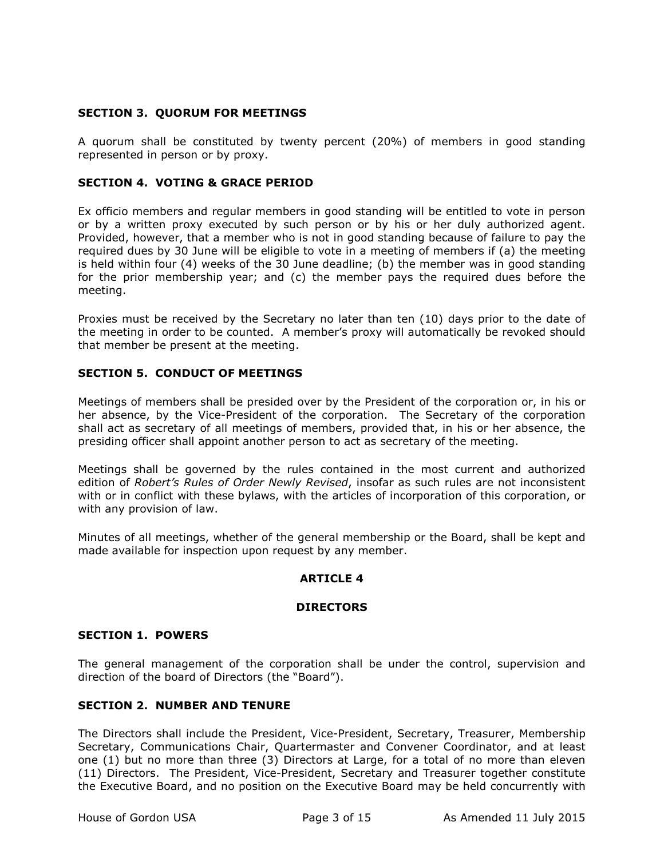# **SECTION 3. QUORUM FOR MEETINGS**

A quorum shall be constituted by twenty percent (20%) of members in good standing represented in person or by proxy.

#### **SECTION 4. VOTING & GRACE PERIOD**

Ex officio members and regular members in good standing will be entitled to vote in person or by a written proxy executed by such person or by his or her duly authorized agent. Provided, however, that a member who is not in good standing because of failure to pay the required dues by 30 June will be eligible to vote in a meeting of members if (a) the meeting is held within four (4) weeks of the 30 June deadline; (b) the member was in good standing for the prior membership year; and (c) the member pays the required dues before the meeting.

Proxies must be received by the Secretary no later than ten (10) days prior to the date of the meeting in order to be counted. A member's proxy will automatically be revoked should that member be present at the meeting.

## **SECTION 5. CONDUCT OF MEETINGS**

Meetings of members shall be presided over by the President of the corporation or, in his or her absence, by the Vice-President of the corporation. The Secretary of the corporation shall act as secretary of all meetings of members, provided that, in his or her absence, the presiding officer shall appoint another person to act as secretary of the meeting.

Meetings shall be governed by the rules contained in the most current and authorized edition of *Robert's Rules of Order Newly Revised*, insofar as such rules are not inconsistent with or in conflict with these bylaws, with the articles of incorporation of this corporation, or with any provision of law.

Minutes of all meetings, whether of the general membership or the Board, shall be kept and made available for inspection upon request by any member.

## **ARTICLE 4**

#### **DIRECTORS**

#### **SECTION 1. POWERS**

The general management of the corporation shall be under the control, supervision and direction of the board of Directors (the "Board").

## **SECTION 2. NUMBER AND TENURE**

The Directors shall include the President, Vice-President, Secretary, Treasurer, Membership Secretary, Communications Chair, Quartermaster and Convener Coordinator, and at least one (1) but no more than three (3) Directors at Large, for a total of no more than eleven (11) Directors. The President, Vice-President, Secretary and Treasurer together constitute the Executive Board, and no position on the Executive Board may be held concurrently with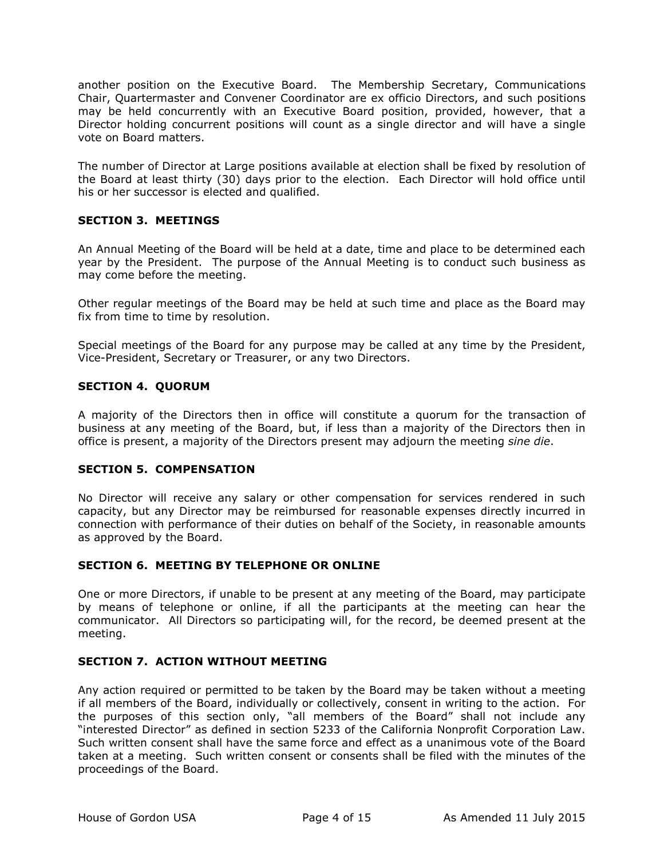another position on the Executive Board. The Membership Secretary, Communications Chair, Quartermaster and Convener Coordinator are ex officio Directors, and such positions may be held concurrently with an Executive Board position, provided, however, that a Director holding concurrent positions will count as a single director and will have a single vote on Board matters.

The number of Director at Large positions available at election shall be fixed by resolution of the Board at least thirty (30) days prior to the election. Each Director will hold office until his or her successor is elected and qualified.

## **SECTION 3. MEETINGS**

An Annual Meeting of the Board will be held at a date, time and place to be determined each year by the President. The purpose of the Annual Meeting is to conduct such business as may come before the meeting.

Other regular meetings of the Board may be held at such time and place as the Board may fix from time to time by resolution.

Special meetings of the Board for any purpose may be called at any time by the President, Vice-President, Secretary or Treasurer, or any two Directors.

## **SECTION 4. QUORUM**

A majority of the Directors then in office will constitute a quorum for the transaction of business at any meeting of the Board, but, if less than a majority of the Directors then in office is present, a majority of the Directors present may adjourn the meeting *sine die*.

## **SECTION 5. COMPENSATION**

No Director will receive any salary or other compensation for services rendered in such capacity, but any Director may be reimbursed for reasonable expenses directly incurred in connection with performance of their duties on behalf of the Society, in reasonable amounts as approved by the Board.

## **SECTION 6. MEETING BY TELEPHONE OR ONLINE**

One or more Directors, if unable to be present at any meeting of the Board, may participate by means of telephone or online, if all the participants at the meeting can hear the communicator. All Directors so participating will, for the record, be deemed present at the meeting.

## **SECTION 7. ACTION WITHOUT MEETING**

Any action required or permitted to be taken by the Board may be taken without a meeting if all members of the Board, individually or collectively, consent in writing to the action. For the purposes of this section only, "all members of the Board" shall not include any "interested Director" as defined in section 5233 of the California Nonprofit Corporation Law. Such written consent shall have the same force and effect as a unanimous vote of the Board taken at a meeting. Such written consent or consents shall be filed with the minutes of the proceedings of the Board.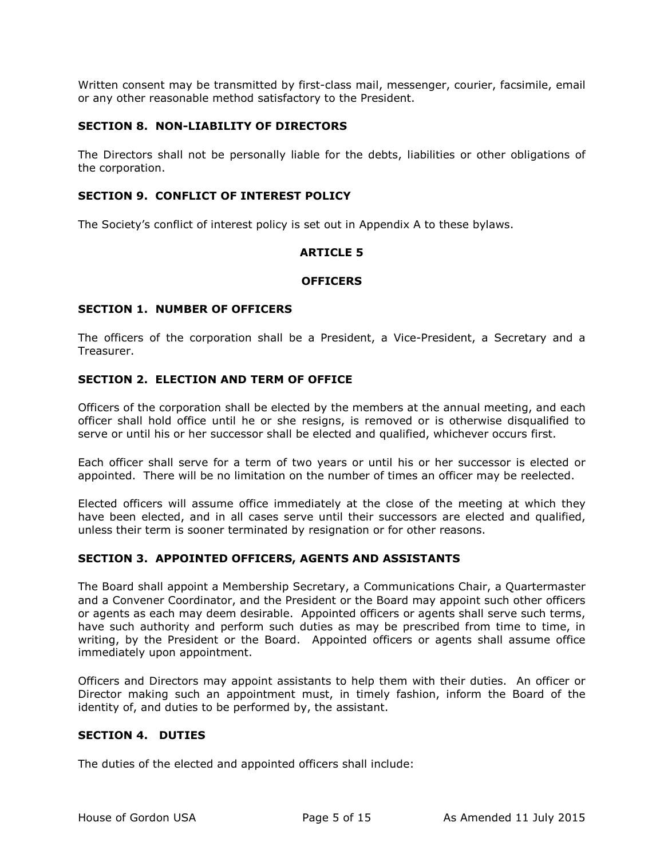Written consent may be transmitted by first-class mail, messenger, courier, facsimile, email or any other reasonable method satisfactory to the President.

#### **SECTION 8. NON-LIABILITY OF DIRECTORS**

The Directors shall not be personally liable for the debts, liabilities or other obligations of the corporation.

#### **SECTION 9. CONFLICT OF INTEREST POLICY**

The Society's conflict of interest policy is set out in Appendix A to these bylaws.

#### **ARTICLE 5**

#### **OFFICERS**

#### **SECTION 1. NUMBER OF OFFICERS**

The officers of the corporation shall be a President, a Vice-President, a Secretary and a Treasurer.

#### **SECTION 2. ELECTION AND TERM OF OFFICE**

Officers of the corporation shall be elected by the members at the annual meeting, and each officer shall hold office until he or she resigns, is removed or is otherwise disqualified to serve or until his or her successor shall be elected and qualified, whichever occurs first.

Each officer shall serve for a term of two years or until his or her successor is elected or appointed. There will be no limitation on the number of times an officer may be reelected.

Elected officers will assume office immediately at the close of the meeting at which they have been elected, and in all cases serve until their successors are elected and qualified, unless their term is sooner terminated by resignation or for other reasons.

#### **SECTION 3. APPOINTED OFFICERS, AGENTS AND ASSISTANTS**

The Board shall appoint a Membership Secretary, a Communications Chair, a Quartermaster and a Convener Coordinator, and the President or the Board may appoint such other officers or agents as each may deem desirable. Appointed officers or agents shall serve such terms, have such authority and perform such duties as may be prescribed from time to time, in writing, by the President or the Board. Appointed officers or agents shall assume office immediately upon appointment.

Officers and Directors may appoint assistants to help them with their duties. An officer or Director making such an appointment must, in timely fashion, inform the Board of the identity of, and duties to be performed by, the assistant.

#### **SECTION 4. DUTIES**

The duties of the elected and appointed officers shall include: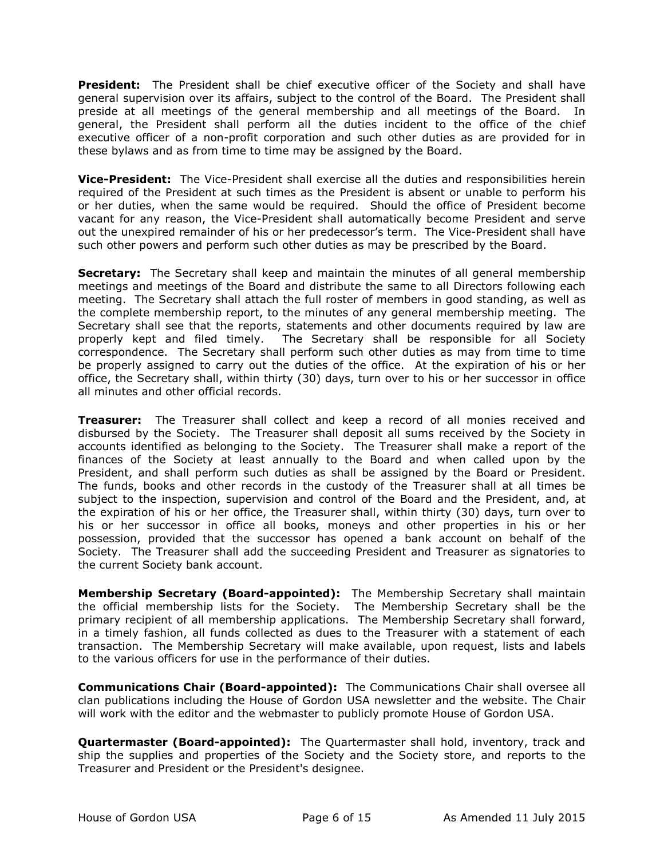**President:** The President shall be chief executive officer of the Society and shall have general supervision over its affairs, subject to the control of the Board. The President shall preside at all meetings of the general membership and all meetings of the Board. In general, the President shall perform all the duties incident to the office of the chief executive officer of a non-profit corporation and such other duties as are provided for in these bylaws and as from time to time may be assigned by the Board.

**Vice-President:** The Vice-President shall exercise all the duties and responsibilities herein required of the President at such times as the President is absent or unable to perform his or her duties, when the same would be required. Should the office of President become vacant for any reason, the Vice-President shall automatically become President and serve out the unexpired remainder of his or her predecessor's term. The Vice-President shall have such other powers and perform such other duties as may be prescribed by the Board.

**Secretary:** The Secretary shall keep and maintain the minutes of all general membership meetings and meetings of the Board and distribute the same to all Directors following each meeting. The Secretary shall attach the full roster of members in good standing, as well as the complete membership report, to the minutes of any general membership meeting. The Secretary shall see that the reports, statements and other documents required by law are properly kept and filed timely. The Secretary shall be responsible for all Society correspondence. The Secretary shall perform such other duties as may from time to time be properly assigned to carry out the duties of the office. At the expiration of his or her office, the Secretary shall, within thirty (30) days, turn over to his or her successor in office all minutes and other official records.

**Treasurer:** The Treasurer shall collect and keep a record of all monies received and disbursed by the Society. The Treasurer shall deposit all sums received by the Society in accounts identified as belonging to the Society. The Treasurer shall make a report of the finances of the Society at least annually to the Board and when called upon by the President, and shall perform such duties as shall be assigned by the Board or President. The funds, books and other records in the custody of the Treasurer shall at all times be subject to the inspection, supervision and control of the Board and the President, and, at the expiration of his or her office, the Treasurer shall, within thirty (30) days, turn over to his or her successor in office all books, moneys and other properties in his or her possession, provided that the successor has opened a bank account on behalf of the Society. The Treasurer shall add the succeeding President and Treasurer as signatories to the current Society bank account.

**Membership Secretary (Board-appointed):** The Membership Secretary shall maintain the official membership lists for the Society. The Membership Secretary shall be the primary recipient of all membership applications. The Membership Secretary shall forward, in a timely fashion, all funds collected as dues to the Treasurer with a statement of each transaction. The Membership Secretary will make available, upon request, lists and labels to the various officers for use in the performance of their duties.

**Communications Chair (Board-appointed):** The Communications Chair shall oversee all clan publications including the House of Gordon USA newsletter and the website. The Chair will work with the editor and the webmaster to publicly promote House of Gordon USA.

**Quartermaster (Board-appointed):** The Quartermaster shall hold, inventory, track and ship the supplies and properties of the Society and the Society store, and reports to the Treasurer and President or the President's designee.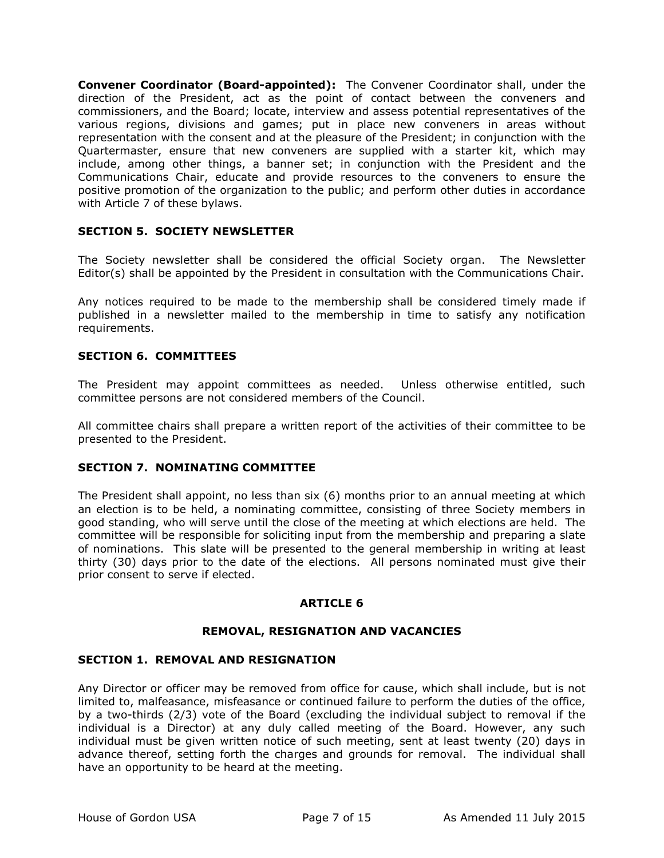**Convener Coordinator (Board-appointed):** The Convener Coordinator shall, under the direction of the President, act as the point of contact between the conveners and commissioners, and the Board; locate, interview and assess potential representatives of the various regions, divisions and games; put in place new conveners in areas without representation with the consent and at the pleasure of the President; in conjunction with the Quartermaster, ensure that new conveners are supplied with a starter kit, which may include, among other things, a banner set; in conjunction with the President and the Communications Chair, educate and provide resources to the conveners to ensure the positive promotion of the organization to the public; and perform other duties in accordance with Article 7 of these bylaws.

# **SECTION 5. SOCIETY NEWSLETTER**

The Society newsletter shall be considered the official Society organ. The Newsletter Editor(s) shall be appointed by the President in consultation with the Communications Chair.

Any notices required to be made to the membership shall be considered timely made if published in a newsletter mailed to the membership in time to satisfy any notification requirements.

#### **SECTION 6. COMMITTEES**

The President may appoint committees as needed. Unless otherwise entitled, such committee persons are not considered members of the Council.

All committee chairs shall prepare a written report of the activities of their committee to be presented to the President.

#### **SECTION 7. NOMINATING COMMITTEE**

The President shall appoint, no less than six (6) months prior to an annual meeting at which an election is to be held, a nominating committee, consisting of three Society members in good standing, who will serve until the close of the meeting at which elections are held. The committee will be responsible for soliciting input from the membership and preparing a slate of nominations. This slate will be presented to the general membership in writing at least thirty (30) days prior to the date of the elections. All persons nominated must give their prior consent to serve if elected.

#### **ARTICLE 6**

## **REMOVAL, RESIGNATION AND VACANCIES**

#### **SECTION 1. REMOVAL AND RESIGNATION**

Any Director or officer may be removed from office for cause, which shall include, but is not limited to, malfeasance, misfeasance or continued failure to perform the duties of the office, by a two-thirds (2/3) vote of the Board (excluding the individual subject to removal if the individual is a Director) at any duly called meeting of the Board. However, any such individual must be given written notice of such meeting, sent at least twenty (20) days in advance thereof, setting forth the charges and grounds for removal. The individual shall have an opportunity to be heard at the meeting.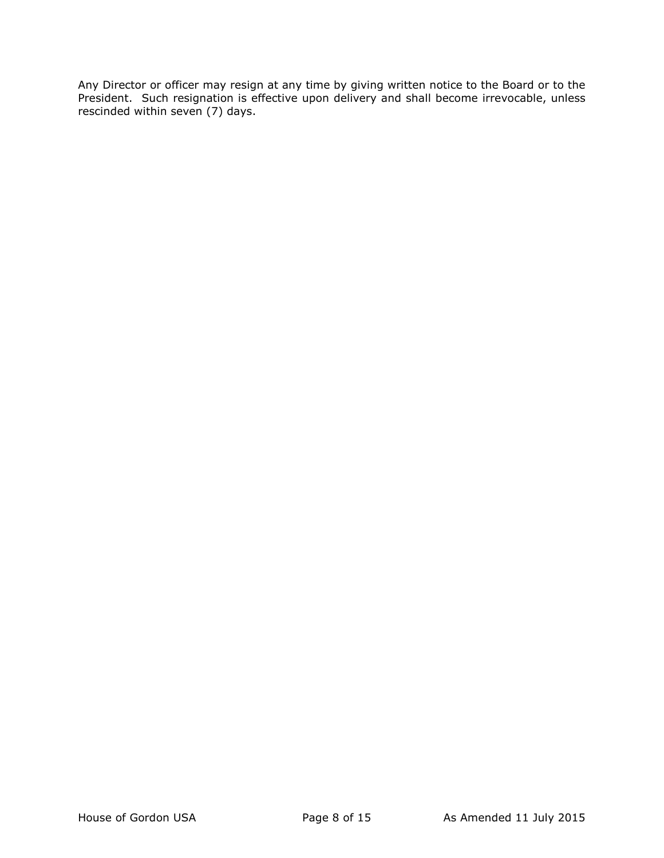Any Director or officer may resign at any time by giving written notice to the Board or to the President. Such resignation is effective upon delivery and shall become irrevocable, unless rescinded within seven (7) days.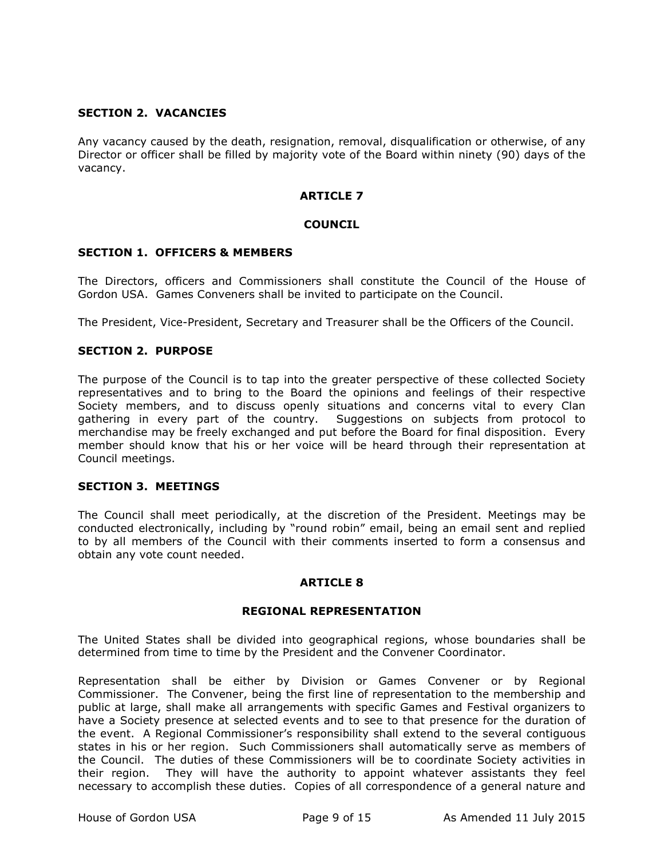## **SECTION 2. VACANCIES**

Any vacancy caused by the death, resignation, removal, disqualification or otherwise, of any Director or officer shall be filled by majority vote of the Board within ninety (90) days of the vacancy.

## **ARTICLE 7**

#### **COUNCIL**

#### **SECTION 1. OFFICERS & MEMBERS**

The Directors, officers and Commissioners shall constitute the Council of the House of Gordon USA. Games Conveners shall be invited to participate on the Council.

The President, Vice-President, Secretary and Treasurer shall be the Officers of the Council.

## **SECTION 2. PURPOSE**

The purpose of the Council is to tap into the greater perspective of these collected Society representatives and to bring to the Board the opinions and feelings of their respective Society members, and to discuss openly situations and concerns vital to every Clan gathering in every part of the country. Suggestions on subjects from protocol to merchandise may be freely exchanged and put before the Board for final disposition. Every member should know that his or her voice will be heard through their representation at Council meetings.

#### **SECTION 3. MEETINGS**

The Council shall meet periodically, at the discretion of the President. Meetings may be conducted electronically, including by "round robin" email, being an email sent and replied to by all members of the Council with their comments inserted to form a consensus and obtain any vote count needed.

#### **ARTICLE 8**

#### **REGIONAL REPRESENTATION**

The United States shall be divided into geographical regions, whose boundaries shall be determined from time to time by the President and the Convener Coordinator.

Representation shall be either by Division or Games Convener or by Regional Commissioner. The Convener, being the first line of representation to the membership and public at large, shall make all arrangements with specific Games and Festival organizers to have a Society presence at selected events and to see to that presence for the duration of the event. A Regional Commissioner's responsibility shall extend to the several contiguous states in his or her region. Such Commissioners shall automatically serve as members of the Council. The duties of these Commissioners will be to coordinate Society activities in their region. They will have the authority to appoint whatever assistants they feel necessary to accomplish these duties. Copies of all correspondence of a general nature and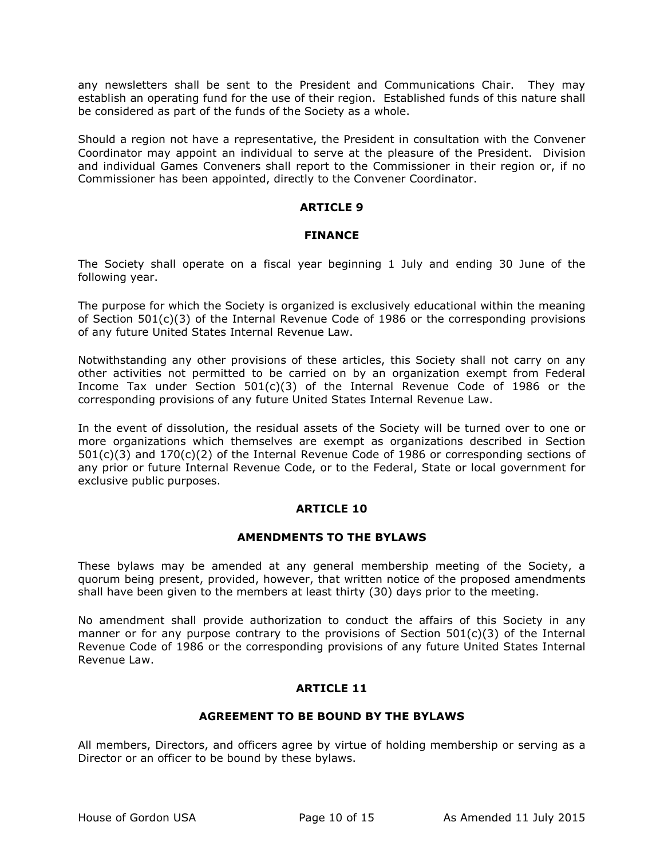any newsletters shall be sent to the President and Communications Chair. They may establish an operating fund for the use of their region. Established funds of this nature shall be considered as part of the funds of the Society as a whole.

Should a region not have a representative, the President in consultation with the Convener Coordinator may appoint an individual to serve at the pleasure of the President. Division and individual Games Conveners shall report to the Commissioner in their region or, if no Commissioner has been appointed, directly to the Convener Coordinator.

#### **ARTICLE 9**

#### **FINANCE**

The Society shall operate on a fiscal year beginning 1 July and ending 30 June of the following year.

The purpose for which the Society is organized is exclusively educational within the meaning of Section  $501(c)(3)$  of the Internal Revenue Code of 1986 or the corresponding provisions of any future United States Internal Revenue Law.

Notwithstanding any other provisions of these articles, this Society shall not carry on any other activities not permitted to be carried on by an organization exempt from Federal Income Tax under Section 501(c)(3) of the Internal Revenue Code of 1986 or the corresponding provisions of any future United States Internal Revenue Law.

In the event of dissolution, the residual assets of the Society will be turned over to one or more organizations which themselves are exempt as organizations described in Section 501(c)(3) and 170(c)(2) of the Internal Revenue Code of 1986 or corresponding sections of any prior or future Internal Revenue Code, or to the Federal, State or local government for exclusive public purposes.

## **ARTICLE 10**

#### **AMENDMENTS TO THE BYLAWS**

These bylaws may be amended at any general membership meeting of the Society, a quorum being present, provided, however, that written notice of the proposed amendments shall have been given to the members at least thirty (30) days prior to the meeting.

No amendment shall provide authorization to conduct the affairs of this Society in any manner or for any purpose contrary to the provisions of Section  $501(c)(3)$  of the Internal Revenue Code of 1986 or the corresponding provisions of any future United States Internal Revenue Law.

# **ARTICLE 11**

#### **AGREEMENT TO BE BOUND BY THE BYLAWS**

All members, Directors, and officers agree by virtue of holding membership or serving as a Director or an officer to be bound by these bylaws.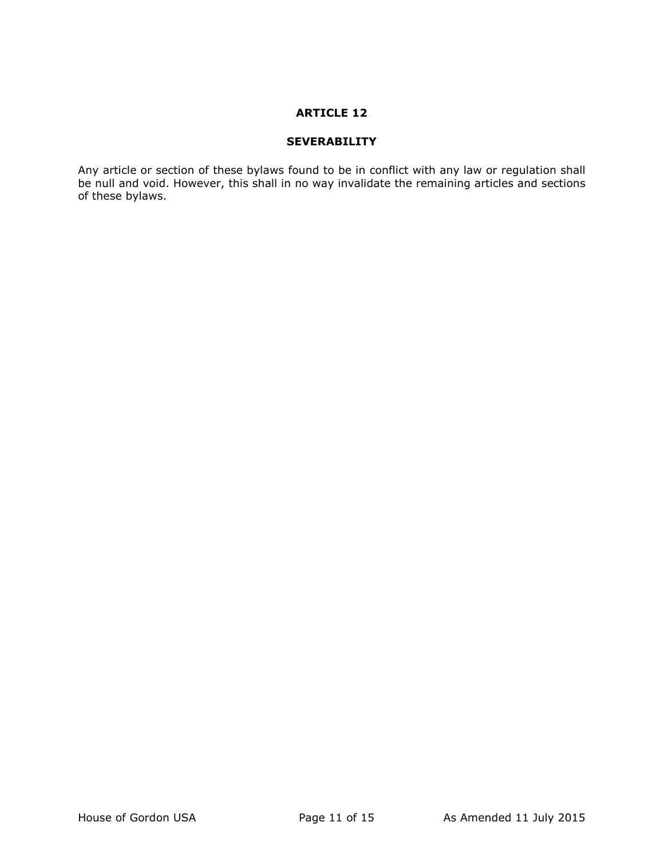# **ARTICLE 12**

# **SEVERABILITY**

Any article or section of these bylaws found to be in conflict with any law or regulation shall be null and void. However, this shall in no way invalidate the remaining articles and sections of these bylaws.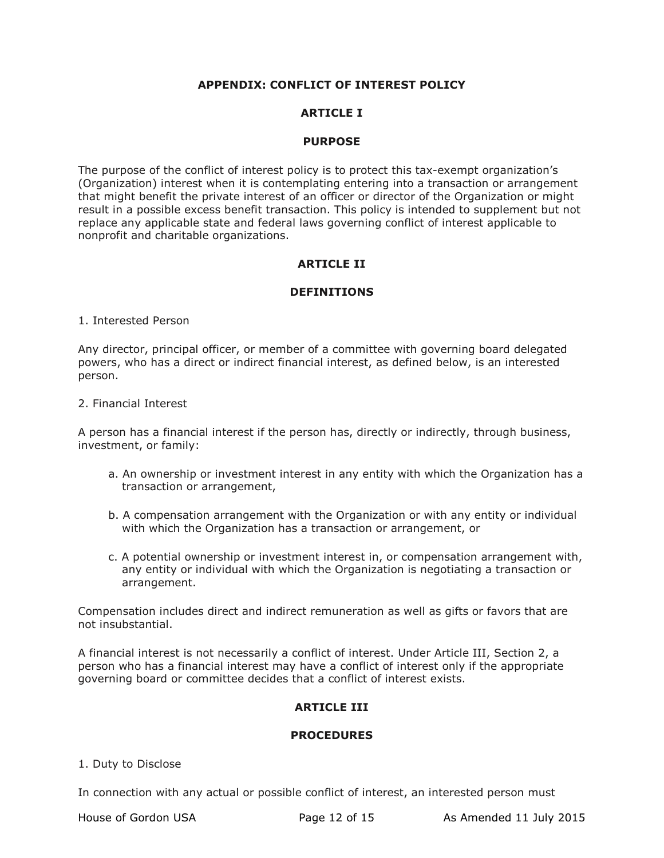# **APPENDIX: CONFLICT OF INTEREST POLICY**

# **ARTICLE I**

#### **PURPOSE**

The purpose of the conflict of interest policy is to protect this tax-exempt organization's (Organization) interest when it is contemplating entering into a transaction or arrangement that might benefit the private interest of an officer or director of the Organization or might result in a possible excess benefit transaction. This policy is intended to supplement but not replace any applicable state and federal laws governing conflict of interest applicable to nonprofit and charitable organizations.

## **ARTICLE II**

## **DEFINITIONS**

1. Interested Person

Any director, principal officer, or member of a committee with governing board delegated powers, who has a direct or indirect financial interest, as defined below, is an interested person.

#### 2. Financial Interest

A person has a financial interest if the person has, directly or indirectly, through business, investment, or family:

- a. An ownership or investment interest in any entity with which the Organization has a transaction or arrangement,
- b. A compensation arrangement with the Organization or with any entity or individual with which the Organization has a transaction or arrangement, or
- c. A potential ownership or investment interest in, or compensation arrangement with, any entity or individual with which the Organization is negotiating a transaction or arrangement.

Compensation includes direct and indirect remuneration as well as gifts or favors that are not insubstantial.

A financial interest is not necessarily a conflict of interest. Under Article III, Section 2, a person who has a financial interest may have a conflict of interest only if the appropriate governing board or committee decides that a conflict of interest exists.

## **ARTICLE III**

#### **PROCEDURES**

1. Duty to Disclose

In connection with any actual or possible conflict of interest, an interested person must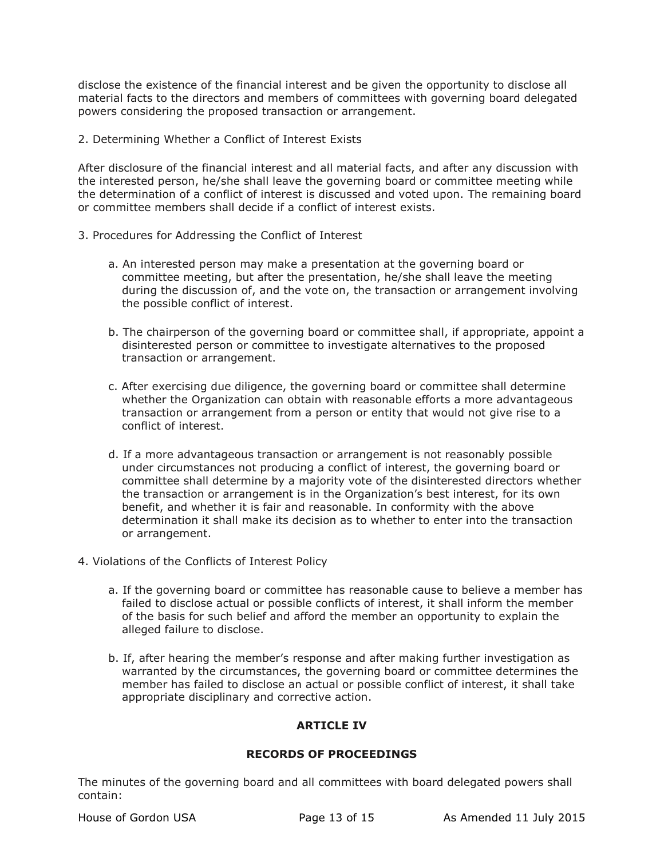disclose the existence of the financial interest and be given the opportunity to disclose all material facts to the directors and members of committees with governing board delegated powers considering the proposed transaction or arrangement.

2. Determining Whether a Conflict of Interest Exists

After disclosure of the financial interest and all material facts, and after any discussion with the interested person, he/she shall leave the governing board or committee meeting while the determination of a conflict of interest is discussed and voted upon. The remaining board or committee members shall decide if a conflict of interest exists.

- 3. Procedures for Addressing the Conflict of Interest
	- a. An interested person may make a presentation at the governing board or committee meeting, but after the presentation, he/she shall leave the meeting during the discussion of, and the vote on, the transaction or arrangement involving the possible conflict of interest.
	- b. The chairperson of the governing board or committee shall, if appropriate, appoint a disinterested person or committee to investigate alternatives to the proposed transaction or arrangement.
	- c. After exercising due diligence, the governing board or committee shall determine whether the Organization can obtain with reasonable efforts a more advantageous transaction or arrangement from a person or entity that would not give rise to a conflict of interest.
	- d. If a more advantageous transaction or arrangement is not reasonably possible under circumstances not producing a conflict of interest, the governing board or committee shall determine by a majority vote of the disinterested directors whether the transaction or arrangement is in the Organization's best interest, for its own benefit, and whether it is fair and reasonable. In conformity with the above determination it shall make its decision as to whether to enter into the transaction or arrangement.
- 4. Violations of the Conflicts of Interest Policy
	- a. If the governing board or committee has reasonable cause to believe a member has failed to disclose actual or possible conflicts of interest, it shall inform the member of the basis for such belief and afford the member an opportunity to explain the alleged failure to disclose.
	- b. If, after hearing the member's response and after making further investigation as warranted by the circumstances, the governing board or committee determines the member has failed to disclose an actual or possible conflict of interest, it shall take appropriate disciplinary and corrective action.

## **ARTICLE IV**

## **RECORDS OF PROCEEDINGS**

The minutes of the governing board and all committees with board delegated powers shall contain: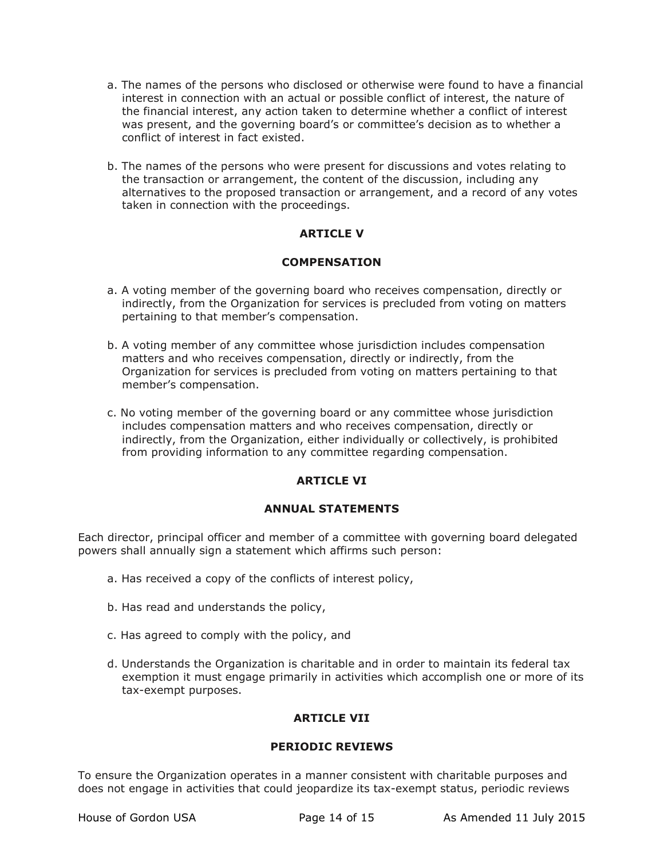- a. The names of the persons who disclosed or otherwise were found to have a financial interest in connection with an actual or possible conflict of interest, the nature of the financial interest, any action taken to determine whether a conflict of interest was present, and the governing board's or committee's decision as to whether a conflict of interest in fact existed.
- b. The names of the persons who were present for discussions and votes relating to the transaction or arrangement, the content of the discussion, including any alternatives to the proposed transaction or arrangement, and a record of any votes taken in connection with the proceedings.

# **ARTICLE V**

# **COMPENSATION**

- a. A voting member of the governing board who receives compensation, directly or indirectly, from the Organization for services is precluded from voting on matters pertaining to that member's compensation.
- b. A voting member of any committee whose jurisdiction includes compensation matters and who receives compensation, directly or indirectly, from the Organization for services is precluded from voting on matters pertaining to that member's compensation.
- c. No voting member of the governing board or any committee whose jurisdiction includes compensation matters and who receives compensation, directly or indirectly, from the Organization, either individually or collectively, is prohibited from providing information to any committee regarding compensation.

# **ARTICLE VI**

## **ANNUAL STATEMENTS**

Each director, principal officer and member of a committee with governing board delegated powers shall annually sign a statement which affirms such person:

- a. Has received a copy of the conflicts of interest policy,
- b. Has read and understands the policy,
- c. Has agreed to comply with the policy, and
- d. Understands the Organization is charitable and in order to maintain its federal tax exemption it must engage primarily in activities which accomplish one or more of its tax-exempt purposes.

# **ARTICLE VII**

## **PERIODIC REVIEWS**

To ensure the Organization operates in a manner consistent with charitable purposes and does not engage in activities that could jeopardize its tax-exempt status, periodic reviews